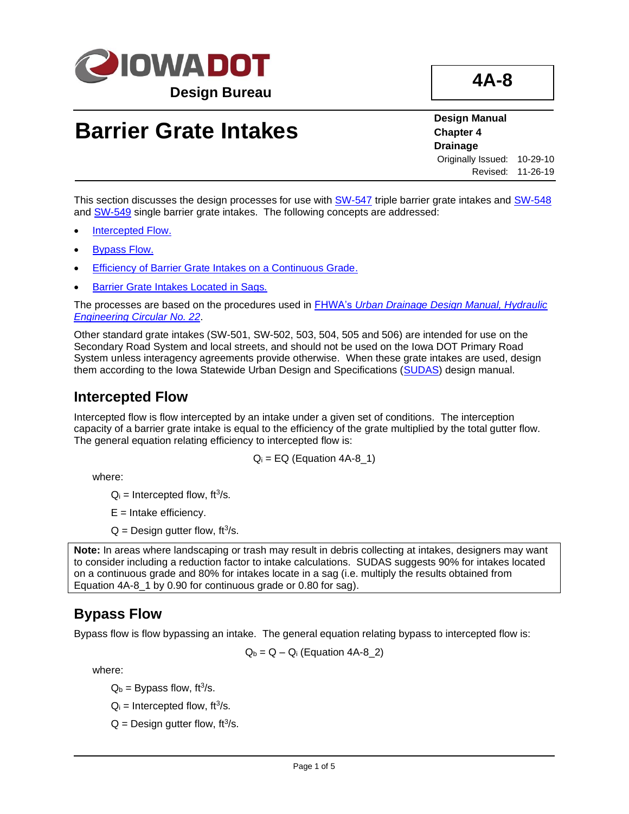

# **Barrier Grate Intakes**

**Design Manual Chapter 4 Drainage** Originally Issued: 10-29-10 Revised: 11-26-19

This section discusses the design processes for use with [SW-547](../SRP/IndividualStandards/sw547.pdf) triple barrier grate intakes and [SW-548](../SRP/IndividualStandards/sw548.pdf) and [SW-549](../SRP/IndividualStandards/sw549.pdf) single barrier grate intakes. The following concepts are addressed:

- [Intercepted Flow.](#page-0-0)
- **[Bypass Flow.](#page-0-1)**
- [Efficiency of Barrier Grate Intakes on a Continuous Grade.](#page-1-0)
- [Barrier Grate Intakes Located in Sags.](#page-2-0)

The processes are based on the procedures used in FHWA's *[Urban Drainage Design Manual, Hydraulic](http://www.fhwa.dot.gov/engineering/hydraulics/pubs/10009/10009.pdf)  [Engineering Circular No. 22](http://www.fhwa.dot.gov/engineering/hydraulics/pubs/10009/10009.pdf)*.

Other standard grate intakes (SW-501, SW-502, 503, 504, 505 and 506) are intended for use on the Secondary Road System and local streets, and should not be used on the Iowa DOT Primary Road System unless interagency agreements provide otherwise. When these grate intakes are used, design them according to the Iowa Statewide Urban Design and Specifications [\(SUDAS\)](http://www.iowasudas.org/) design manual.

## <span id="page-0-0"></span>**Intercepted Flow**

Intercepted flow is flow intercepted by an intake under a given set of conditions. The interception capacity of a barrier grate intake is equal to the efficiency of the grate multiplied by the total gutter flow. The general equation relating efficiency to intercepted flow is:

 $Q_i = EQ (Equation 4A-8_1)$ 

where:

 $Q_i$  = Intercepted flow, ft<sup>3</sup>/s.

 $E =$  Intake efficiency.

 $Q =$  Design gutter flow, ft<sup>3</sup>/s.

**Note:** In areas where landscaping or trash may result in debris collecting at intakes, designers may want to consider including a reduction factor to intake calculations. SUDAS suggests 90% for intakes located on a continuous grade and 80% for intakes locate in a sag (i.e. multiply the results obtained from Equation 4A-8 1 by 0.90 for continuous grade or 0.80 for sag).

## <span id="page-0-1"></span>**Bypass Flow**

Bypass flow is flow bypassing an intake. The general equation relating bypass to intercepted flow is:

 $Q_b = Q - Q_i$  (Equation 4A-8\_2)

where:

 $Q_b$  = Bypass flow, ft<sup>3</sup>/s.

- $Q_i$  = Intercepted flow, ft<sup>3</sup>/s.
- $Q =$  Design gutter flow, ft<sup>3</sup>/s.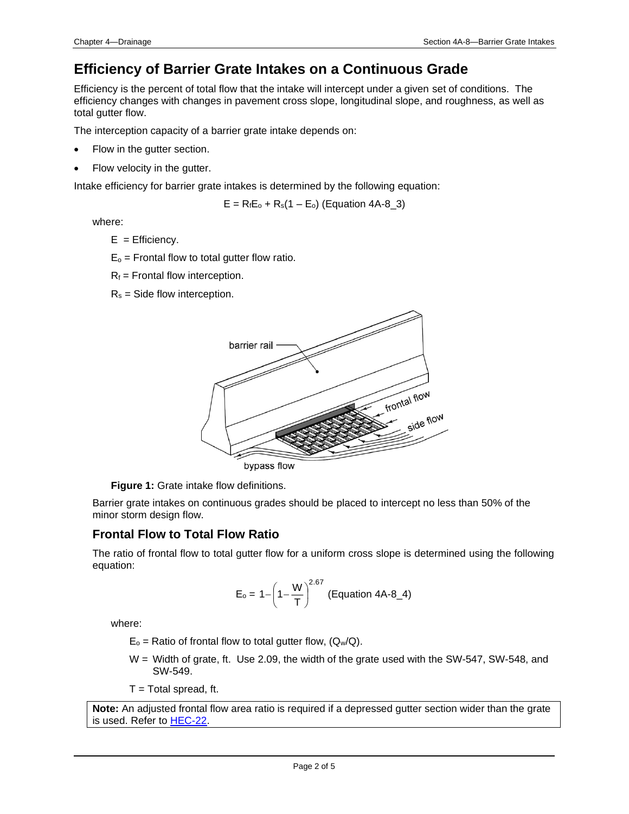# <span id="page-1-0"></span>**Efficiency of Barrier Grate Intakes on a Continuous Grade**

Efficiency is the percent of total flow that the intake will intercept under a given set of conditions. The efficiency changes with changes in pavement cross slope, longitudinal slope, and roughness, as well as total gutter flow.

The interception capacity of a barrier grate intake depends on:

- Flow in the gutter section.
- Flow velocity in the gutter.

Intake efficiency for barrier grate intakes is determined by the following equation:

 $E = R_f E_o + R_s (1 - E_o)$  (Equation 4A-8\_3)

where:

- $E =$  Efficiency.
- $E_0$  = Frontal flow to total gutter flow ratio.
- $R_f$  = Frontal flow interception.
- $R_s$  = Side flow interception.



**Figure 1:** Grate intake flow definitions.

Barrier grate intakes on continuous grades should be placed to intercept no less than 50% of the minor storm design flow.

### **Frontal Flow to Total Flow Ratio**

The ratio of frontal flow to total gutter flow for a uniform cross slope is determined using the following equation:

$$
E_o = 1 - \left(1 - \frac{W}{T}\right)^{2.67}
$$
 (Equation 4A-8\_4)

where:

- $E_0$  = Ratio of frontal flow to total gutter flow,  $(Q_w/Q)$ .
- W = Width of grate, ft. Use 2.09, the width of the grate used with the SW-547, SW-548, and SW-549.

 $T = Total spread, ft.$ 

**Note:** An adjusted frontal flow area ratio is required if a depressed gutter section wider than the grate is used. Refer to [HEC-22.](http://www.fhwa.dot.gov/engineering/hydraulics/pubs/10009/10009.pdf)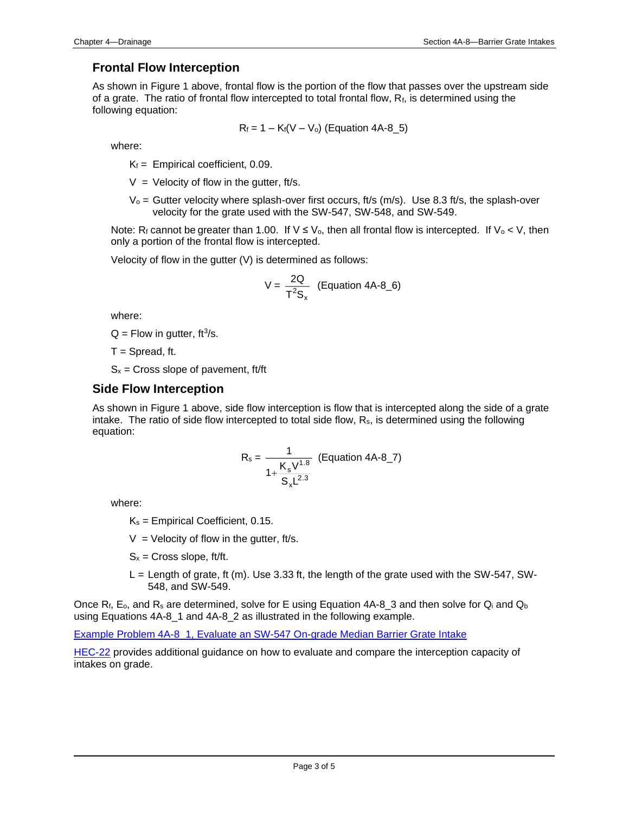### **Frontal Flow Interception**

As shown in Figure 1 above, frontal flow is the portion of the flow that passes over the upstream side of a grate. The ratio of frontal flow intercepted to total frontal flow, Rf, is determined using the following equation:

$$
R_f = 1 - K_f(V - V_o)
$$
 (Equation 4A-8\_5)

where:

 $K_f$  = Empirical coefficient, 0.09.

 $V =$  Velocity of flow in the gutter, ft/s.

 $V_0$  = Gutter velocity where splash-over first occurs, ft/s (m/s). Use 8.3 ft/s, the splash-over velocity for the grate used with the SW-547, SW-548, and SW-549.

Note: R<sub>f</sub> cannot be greater than 1.00. If  $V \le V_0$ , then all frontal flow is intercepted. If  $V_0 < V$ , then only a portion of the frontal flow is intercepted.

Velocity of flow in the gutter (V) is determined as follows:

$$
V = \frac{2Q}{T^2S_x}
$$
 (Equation 4A-8\_6)

where:

 $Q =$  Flow in gutter, ft<sup>3</sup>/s.

 $T =$  Spread, ft.

 $S_x$  = Cross slope of pavement, ft/ft

#### **Side Flow Interception**

As shown in Figure 1 above, side flow interception is flow that is intercepted along the side of a grate intake. The ratio of side flow intercepted to total side flow,  $R_s$ , is determined using the following equation:

$$
R_s = \frac{1}{1 + \frac{K_s V^{1.8}}{S_x L^{2.3}}} \text{ (Equation 4A-8_7)}
$$

where:

 $K_s$  = Empirical Coefficient, 0.15.

 $V =$  Velocity of flow in the gutter, ft/s.

- $S_x$  = Cross slope, ft/ft.
- $L =$  Length of grate, ft (m). Use 3.33 ft, the length of the grate used with the SW-547, SW-548, and SW-549.

Once R<sub>f</sub>, E<sub>o</sub>, and R<sub>s</sub> are determined, solve for E using Equation 4A-8\_3 and then solve for Q<sub>i</sub> and Q<sub>b</sub> using Equations 4A-8\_1 and 4A-8\_2 as illustrated in the following example.

[Example Problem 4A-8\\_1, Evaluate an SW-547 On-grade Median Barrier Grate Intake](04a-08/Example%20Problem%204A-8_1.pdf)

<span id="page-2-0"></span>[HEC-22](http://www.fhwa.dot.gov/engineering/hydraulics/pubs/10009/10009.pdf) provides additional guidance on how to evaluate and compare the interception capacity of intakes on grade.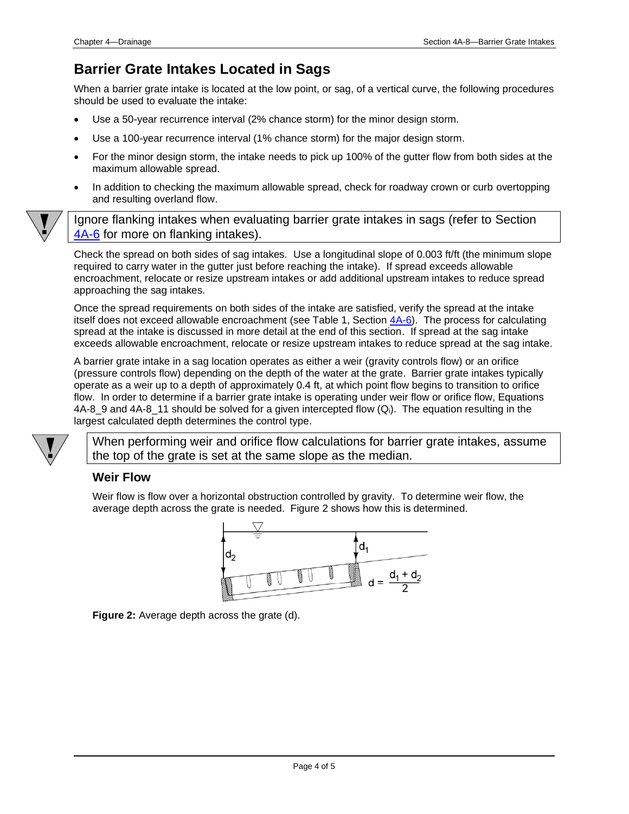## **Barrier Grate Intakes Located in Sags**

When a barrier grate intake is located at the low point, or sag, of a vertical curve, the following procedures should be used to evaluate the intake:

- Use a 50-year recurrence interval (2% chance storm) for the minor design storm.
- Use a 100-year recurrence interval (1% chance storm) for the major design storm.
- For the minor design storm, the intake needs to pick up 100% of the gutter flow from both sides at the maximum allowable spread.
- In addition to checking the maximum allowable spread, check for roadway crown or curb overtopping and resulting overland flow.



Check the spread on both sides of sag intakes. Use a longitudinal slope of 0.003 ft/ft (the minimum slope required to carry water in the gutter just before reaching the intake). If spread exceeds allowable encroachment, relocate or resize upstream intakes or add additional upstream intakes to reduce spread approaching the sag intakes.

Once the spread requirements on both sides of the intake are satisfied, verify the spread at the intake itself does not exceed allowable encroachment (see Table 1, Section [4A-6\)](04a-06.pdf). The process for calculating spread at the intake is discussed in more detail at the end of this section. If spread at the sag intake exceeds allowable encroachment, relocate or resize upstream intakes to reduce spread at the sag intake.

A barrier grate intake in a sag location operates as either a weir (gravity controls flow) or an orifice (pressure controls flow) depending on the depth of the water at the grate. Barrier grate intakes typically operate as a weir up to a depth of approximately 0.4 ft, at which point flow begins to transition to orifice flow. In order to determine if a barrier grate intake is operating under weir flow or orifice flow, Equations 4A-8 9 and 4A-8 11 should be solved for a given intercepted flow  $(Q_i)$ . The equation resulting in the largest calculated depth determines the control type.

When performing weir and orifice flow calculations for barrier grate intakes, assume the top of the grate is set at the same slope as the median.

#### **Weir Flow**

Weir flow is flow over a horizontal obstruction controlled by gravity. To determine weir flow, the average depth across the grate is needed. Figure 2 shows how this is determined.



**Figure 2:** Average depth across the grate (d).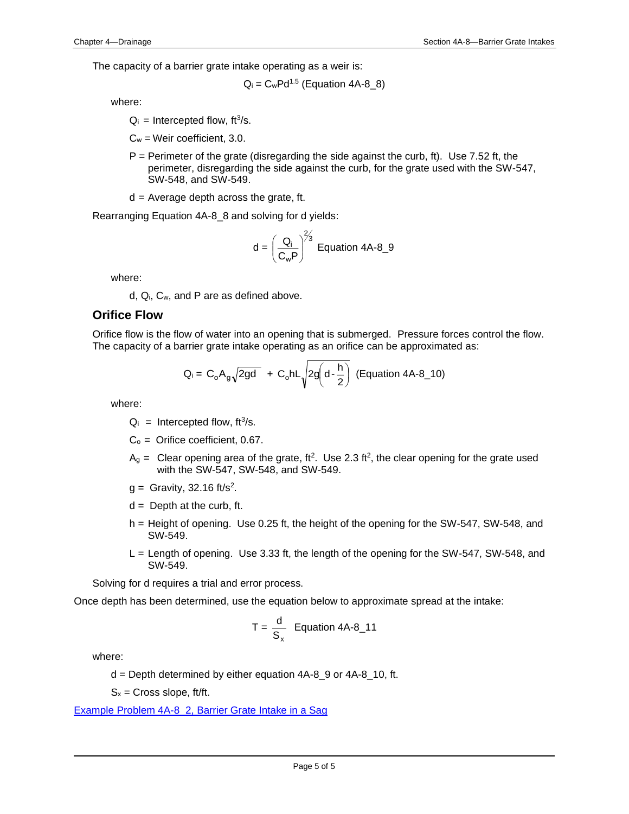The capacity of a barrier grate intake operating as a weir is:

$$
Q_i = C_w P d^{1.5} \text{ (Equation 4A-8_8)}
$$

where:

 $Q_i$  = Intercepted flow, ft<sup>3</sup>/s.

 $C_w$  = Weir coefficient, 3.0.

- $P =$  Perimeter of the grate (disregarding the side against the curb, ft). Use 7.52 ft, the perimeter, disregarding the side against the curb, for the grate used with the SW-547, SW-548, and SW-549.
- $d =$  Average depth across the grate, ft.

Rearranging Equation 4A-8\_8 and solving for d yields:

$$
d = \left(\frac{Q_i}{C_w P}\right)^{2/3}
$$
 Equation 4A-8\_9

where:

d, Qi, Cw, and P are as defined above.

#### **Orifice Flow**

Orifice flow is the flow of water into an opening that is submerged. Pressure forces control the flow. The capacity of a barrier grate intake operating as an orifice can be approximated as:

$$
Q_i = C_o A_g \sqrt{2gd} + C_o h L \sqrt{2g \left(d - \frac{h}{2}\right)}
$$
 (Equation 4A-8\_10)

where:

- $Q_i$  = Intercepted flow, ft<sup>3</sup>/s.
- $C<sub>o</sub>$  = Orifice coefficient, 0.67.
- $A<sub>g</sub>$  = Clear opening area of the grate, ft<sup>2</sup>. Use 2.3 ft<sup>2</sup>, the clear opening for the grate used with the SW-547, SW-548, and SW-549.
- $g =$  Gravity, 32.16 ft/s<sup>2</sup>.
- $d =$  Depth at the curb, ft.
- h = Height of opening. Use 0.25 ft, the height of the opening for the SW-547, SW-548, and SW-549.
- L = Length of opening. Use 3.33 ft, the length of the opening for the SW-547, SW-548, and SW-549.

Solving for d requires a trial and error process.

Once depth has been determined, use the equation below to approximate spread at the intake:

$$
T = \frac{d}{S_x}
$$
 Equation 4A-8\_11

where:

 $d =$  Depth determined by either equation 4A-8  $9$  or 4A-8  $10$ , ft.

 $S_x$  = Cross slope, ft/ft.

[Example Problem 4A-8\\_2, Barrier Grate Intake in a Sag](04a-08/Example%20Problem%204A-8_2.pdf)